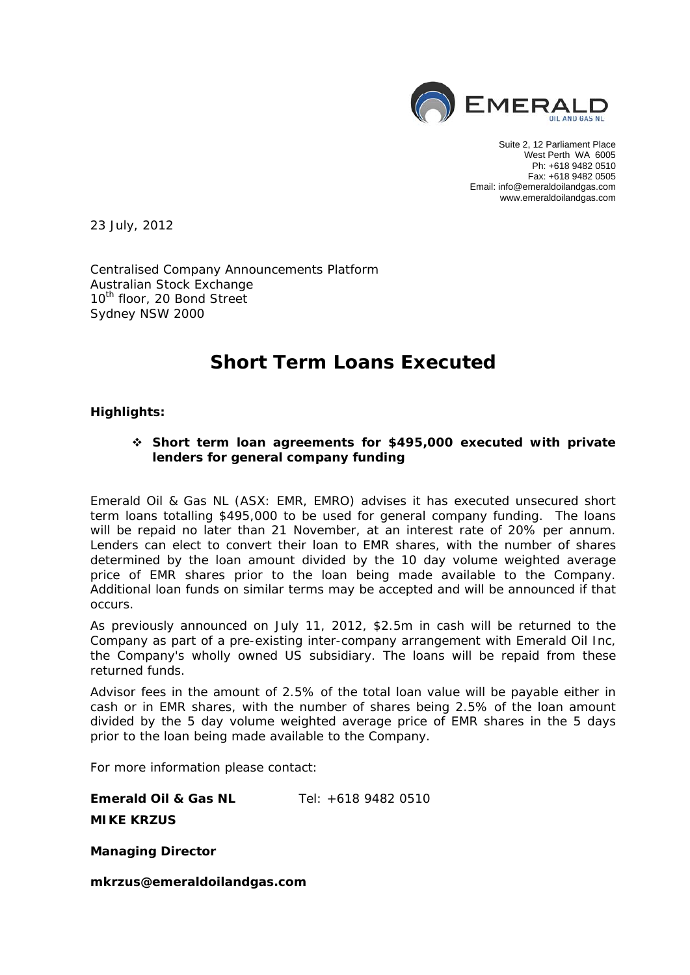

Suite 2, 12 Parliament Place West Perth WA 6005 Ph: +618 9482 0510 Fax: +618 9482 0505 Email: info@emeraldoilandgas.com www.emeraldoilandgas.com

23 July, 2012

Centralised Company Announcements Platform Australian Stock Exchange 10<sup>th</sup> floor, 20 Bond Street Sydney NSW 2000

## **Short Term Loans Executed**

**Highlights:** 

## **Short term loan agreements for \$495,000 executed with private lenders for general company funding**

Emerald Oil & Gas NL (ASX: EMR, EMRO) advises it has executed unsecured short term loans totalling \$495,000 to be used for general company funding. The loans will be repaid no later than 21 November, at an interest rate of 20% per annum. Lenders can elect to convert their loan to EMR shares, with the number of shares determined by the loan amount divided by the 10 day volume weighted average price of EMR shares prior to the loan being made available to the Company. Additional loan funds on similar terms may be accepted and will be announced if that occurs.

As previously announced on July 11, 2012, \$2.5m in cash will be returned to the Company as part of a pre-existing inter-company arrangement with Emerald Oil Inc, the Company's wholly owned US subsidiary. The loans will be repaid from these returned funds.

Advisor fees in the amount of 2.5% of the total loan value will be payable either in cash or in EMR shares, with the number of shares being 2.5% of the loan amount divided by the 5 day volume weighted average price of EMR shares in the 5 days prior to the loan being made available to the Company.

For more information please contact:

**Emerald Oil & Gas NL** Tel: +618 9482 0510

**MIKE KRZUS** 

**Managing Director** 

*mkrzus@emeraldoilandgas.com*